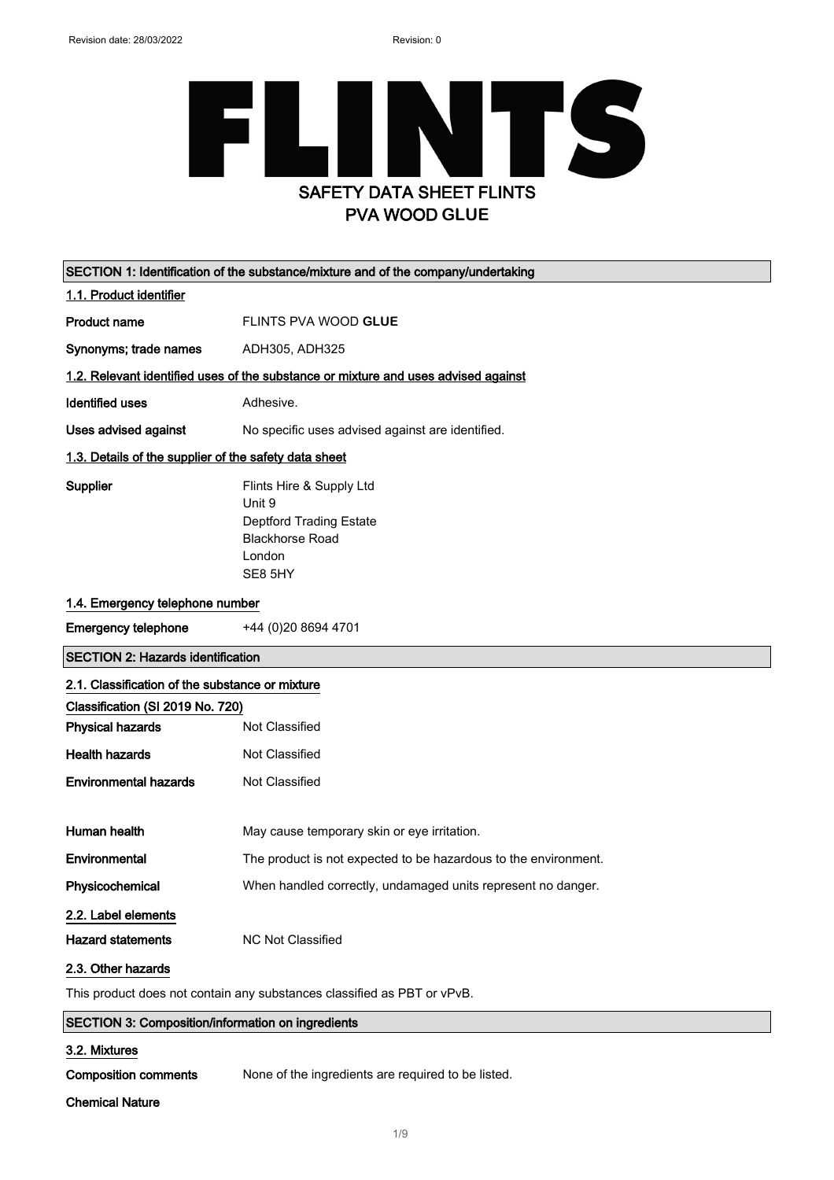### TS F Ш I SAFETY DATA SHEET FLINTS PVA WOOD **GLUE**

| SECTION 1: Identification of the substance/mixture and of the company/undertaking |                                                                                                                     |  |
|-----------------------------------------------------------------------------------|---------------------------------------------------------------------------------------------------------------------|--|
| 1.1. Product identifier                                                           |                                                                                                                     |  |
| <b>Product name</b>                                                               | FLINTS PVA WOOD GLUE                                                                                                |  |
| Synonyms; trade names                                                             | ADH305, ADH325                                                                                                      |  |
|                                                                                   | 1.2. Relevant identified uses of the substance or mixture and uses advised against                                  |  |
| <b>Identified uses</b>                                                            | Adhesive.                                                                                                           |  |
| Uses advised against                                                              | No specific uses advised against are identified.                                                                    |  |
|                                                                                   | 1.3. Details of the supplier of the safety data sheet                                                               |  |
| Supplier                                                                          | Flints Hire & Supply Ltd<br>Unit 9<br><b>Deptford Trading Estate</b><br><b>Blackhorse Road</b><br>London<br>SE8 5HY |  |
| 1.4. Emergency telephone number                                                   |                                                                                                                     |  |
| <b>Emergency telephone</b>                                                        | +44 (0)20 8694 4701                                                                                                 |  |
| <b>SECTION 2: Hazards identification</b>                                          |                                                                                                                     |  |
| 2.1. Classification of the substance or mixture                                   |                                                                                                                     |  |
| Classification (SI 2019 No. 720)                                                  |                                                                                                                     |  |
| <b>Physical hazards</b>                                                           | Not Classified                                                                                                      |  |
| <b>Health hazards</b>                                                             | Not Classified                                                                                                      |  |
| <b>Environmental hazards</b>                                                      | Not Classified                                                                                                      |  |
| Human health                                                                      | May cause temporary skin or eye irritation.                                                                         |  |
| Environmental                                                                     | The product is not expected to be hazardous to the environment.                                                     |  |
| Physicochemical                                                                   | When handled correctly, undamaged units represent no danger.                                                        |  |
| 2.2. Label elements                                                               |                                                                                                                     |  |
| <b>Hazard statements</b>                                                          | <b>NC Not Classified</b>                                                                                            |  |
| 2.3. Other hazards                                                                |                                                                                                                     |  |
| This product does not contain any substances classified as PBT or vPvB.           |                                                                                                                     |  |
| SECTION 3: Composition/information on ingredients                                 |                                                                                                                     |  |
| 3.2. Mixtures                                                                     |                                                                                                                     |  |

Composition comments None of the ingredients are required to be listed.

#### Chemical Nature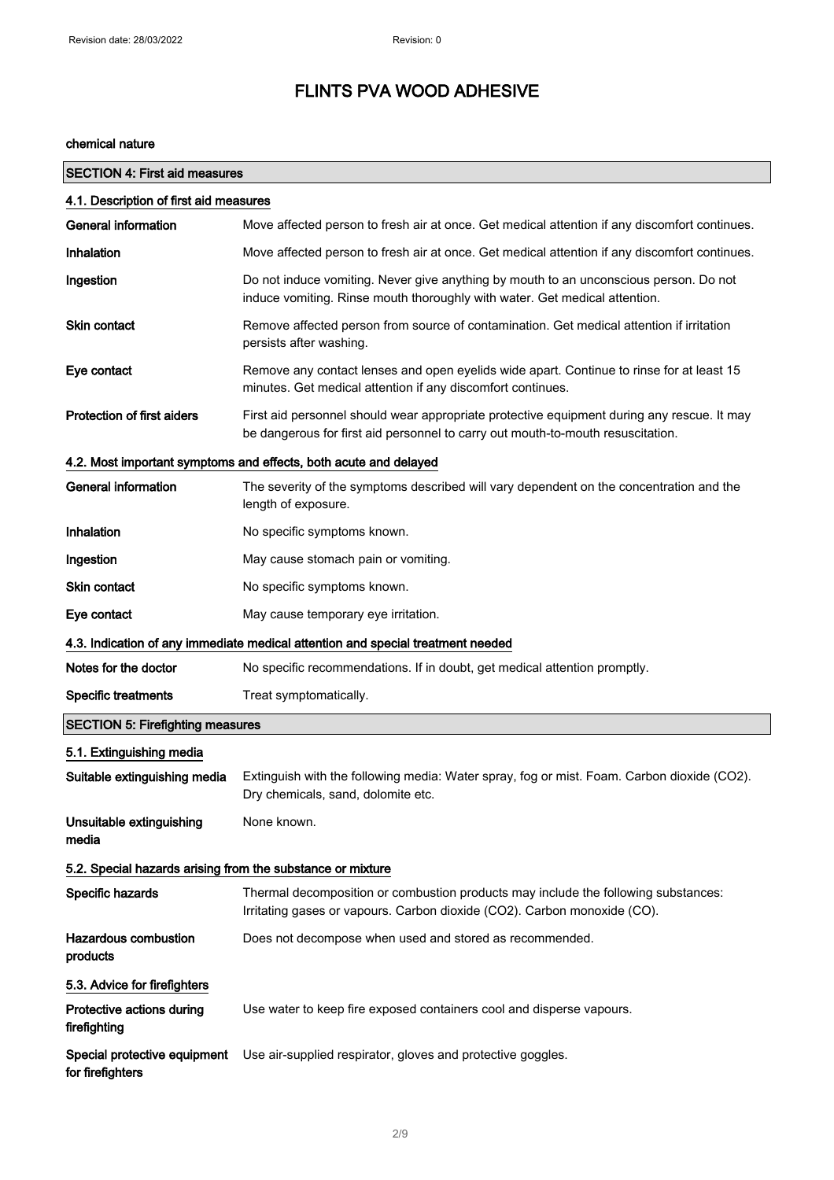#### chemical nature

| <b>SECTION 4: First aid measures</b>                             |                                                                                                                                                                               |  |
|------------------------------------------------------------------|-------------------------------------------------------------------------------------------------------------------------------------------------------------------------------|--|
| 4.1. Description of first aid measures                           |                                                                                                                                                                               |  |
| General information                                              | Move affected person to fresh air at once. Get medical attention if any discomfort continues.                                                                                 |  |
| <b>Inhalation</b>                                                | Move affected person to fresh air at once. Get medical attention if any discomfort continues.                                                                                 |  |
| Ingestion                                                        | Do not induce vomiting. Never give anything by mouth to an unconscious person. Do not<br>induce vomiting. Rinse mouth thoroughly with water. Get medical attention.           |  |
| <b>Skin contact</b>                                              | Remove affected person from source of contamination. Get medical attention if irritation<br>persists after washing.                                                           |  |
| Eye contact                                                      | Remove any contact lenses and open eyelids wide apart. Continue to rinse for at least 15<br>minutes. Get medical attention if any discomfort continues.                       |  |
| <b>Protection of first aiders</b>                                | First aid personnel should wear appropriate protective equipment during any rescue. It may<br>be dangerous for first aid personnel to carry out mouth-to-mouth resuscitation. |  |
| 4.2. Most important symptoms and effects, both acute and delayed |                                                                                                                                                                               |  |
| <b>General information</b>                                       | The severity of the symptoms described will vary dependent on the concentration and the<br>length of exposure.                                                                |  |
| Inhalation                                                       | No specific symptoms known.                                                                                                                                                   |  |
| Ingestion                                                        | May cause stomach pain or vomiting.                                                                                                                                           |  |
| <b>Skin contact</b>                                              | No specific symptoms known.                                                                                                                                                   |  |
| Eye contact                                                      | May cause temporary eye irritation.                                                                                                                                           |  |
|                                                                  | 4.3. Indication of any immediate medical attention and special treatment needed                                                                                               |  |
| Notes for the doctor                                             | No specific recommendations. If in doubt, get medical attention promptly.                                                                                                     |  |
| <b>Specific treatments</b>                                       | Treat symptomatically.                                                                                                                                                        |  |
| <b>SECTION 5: Firefighting measures</b>                          |                                                                                                                                                                               |  |
| 5.1. Extinguishing media                                         |                                                                                                                                                                               |  |
| Suitable extinguishing media                                     | Extinguish with the following media: Water spray, fog or mist. Foam. Carbon dioxide (CO2).<br>Dry chemicals, sand, dolomite etc.                                              |  |
| Unsuitable extinguishing<br>media                                | None known.                                                                                                                                                                   |  |
| 5.2. Special hazards arising from the substance or mixture       |                                                                                                                                                                               |  |
| Specific hazards                                                 | Thermal decomposition or combustion products may include the following substances:<br>Irritating gases or vapours. Carbon dioxide (CO2). Carbon monoxide (CO).                |  |
| <b>Hazardous combustion</b><br>products                          | Does not decompose when used and stored as recommended.                                                                                                                       |  |
| 5.3. Advice for firefighters                                     |                                                                                                                                                                               |  |
| Protective actions during<br>firefighting                        | Use water to keep fire exposed containers cool and disperse vapours.                                                                                                          |  |
| Special protective equipment<br>for firefighters                 | Use air-supplied respirator, gloves and protective goggles.                                                                                                                   |  |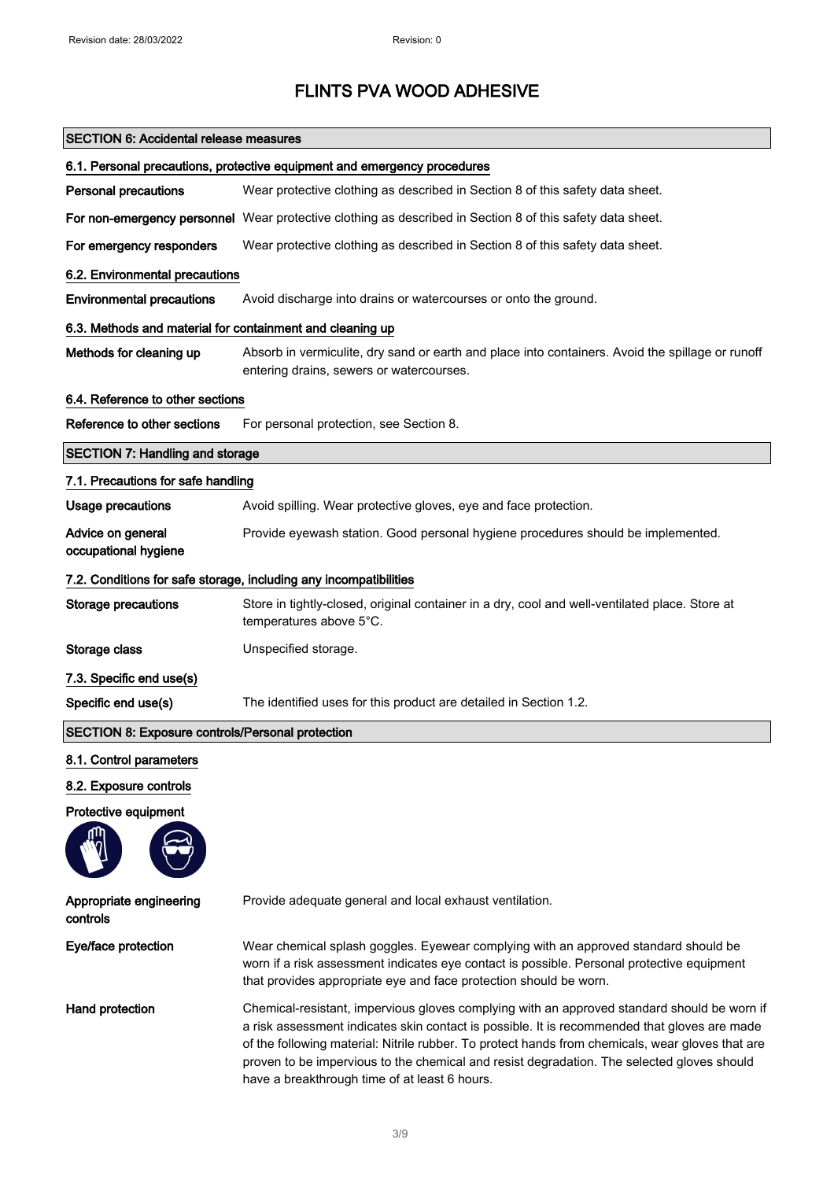'n

## FLINTS PVA WOOD ADHESIVE

| <b>SECTION 6: Accidental release measures</b>                            |                                                                                                                                                                                                                                                                                                                                                                                                                                                |
|--------------------------------------------------------------------------|------------------------------------------------------------------------------------------------------------------------------------------------------------------------------------------------------------------------------------------------------------------------------------------------------------------------------------------------------------------------------------------------------------------------------------------------|
| 6.1. Personal precautions, protective equipment and emergency procedures |                                                                                                                                                                                                                                                                                                                                                                                                                                                |
| <b>Personal precautions</b>                                              | Wear protective clothing as described in Section 8 of this safety data sheet.                                                                                                                                                                                                                                                                                                                                                                  |
|                                                                          | For non-emergency personnel Wear protective clothing as described in Section 8 of this safety data sheet.                                                                                                                                                                                                                                                                                                                                      |
| For emergency responders                                                 | Wear protective clothing as described in Section 8 of this safety data sheet.                                                                                                                                                                                                                                                                                                                                                                  |
| 6.2. Environmental precautions                                           |                                                                                                                                                                                                                                                                                                                                                                                                                                                |
| <b>Environmental precautions</b>                                         | Avoid discharge into drains or watercourses or onto the ground.                                                                                                                                                                                                                                                                                                                                                                                |
| 6.3. Methods and material for containment and cleaning up                |                                                                                                                                                                                                                                                                                                                                                                                                                                                |
| Methods for cleaning up                                                  | Absorb in vermiculite, dry sand or earth and place into containers. Avoid the spillage or runoff<br>entering drains, sewers or watercourses.                                                                                                                                                                                                                                                                                                   |
| 6.4. Reference to other sections                                         |                                                                                                                                                                                                                                                                                                                                                                                                                                                |
| Reference to other sections                                              | For personal protection, see Section 8.                                                                                                                                                                                                                                                                                                                                                                                                        |
| <b>SECTION 7: Handling and storage</b>                                   |                                                                                                                                                                                                                                                                                                                                                                                                                                                |
| 7.1. Precautions for safe handling                                       |                                                                                                                                                                                                                                                                                                                                                                                                                                                |
| <b>Usage precautions</b>                                                 | Avoid spilling. Wear protective gloves, eye and face protection.                                                                                                                                                                                                                                                                                                                                                                               |
| Advice on general<br>occupational hygiene                                | Provide eyewash station. Good personal hygiene procedures should be implemented.                                                                                                                                                                                                                                                                                                                                                               |
| 7.2. Conditions for safe storage, including any incompatibilities        |                                                                                                                                                                                                                                                                                                                                                                                                                                                |
| <b>Storage precautions</b>                                               | Store in tightly-closed, original container in a dry, cool and well-ventilated place. Store at<br>temperatures above 5°C.                                                                                                                                                                                                                                                                                                                      |
| Storage class                                                            | Unspecified storage.                                                                                                                                                                                                                                                                                                                                                                                                                           |
| 7.3. Specific end use(s)                                                 |                                                                                                                                                                                                                                                                                                                                                                                                                                                |
| Specific end use(s)                                                      | The identified uses for this product are detailed in Section 1.2.                                                                                                                                                                                                                                                                                                                                                                              |
| SECTION 8: Exposure controls/Personal protection                         |                                                                                                                                                                                                                                                                                                                                                                                                                                                |
| 8.1. Control parameters                                                  |                                                                                                                                                                                                                                                                                                                                                                                                                                                |
| 8.2. Exposure controls                                                   |                                                                                                                                                                                                                                                                                                                                                                                                                                                |
| Protective equipment                                                     |                                                                                                                                                                                                                                                                                                                                                                                                                                                |
|                                                                          |                                                                                                                                                                                                                                                                                                                                                                                                                                                |
| Appropriate engineering<br>controls                                      | Provide adequate general and local exhaust ventilation.                                                                                                                                                                                                                                                                                                                                                                                        |
| Eye/face protection                                                      | Wear chemical splash goggles. Eyewear complying with an approved standard should be<br>worn if a risk assessment indicates eye contact is possible. Personal protective equipment<br>that provides appropriate eye and face protection should be worn.                                                                                                                                                                                         |
| Hand protection                                                          | Chemical-resistant, impervious gloves complying with an approved standard should be worn if<br>a risk assessment indicates skin contact is possible. It is recommended that gloves are made<br>of the following material: Nitrile rubber. To protect hands from chemicals, wear gloves that are<br>proven to be impervious to the chemical and resist degradation. The selected gloves should<br>have a breakthrough time of at least 6 hours. |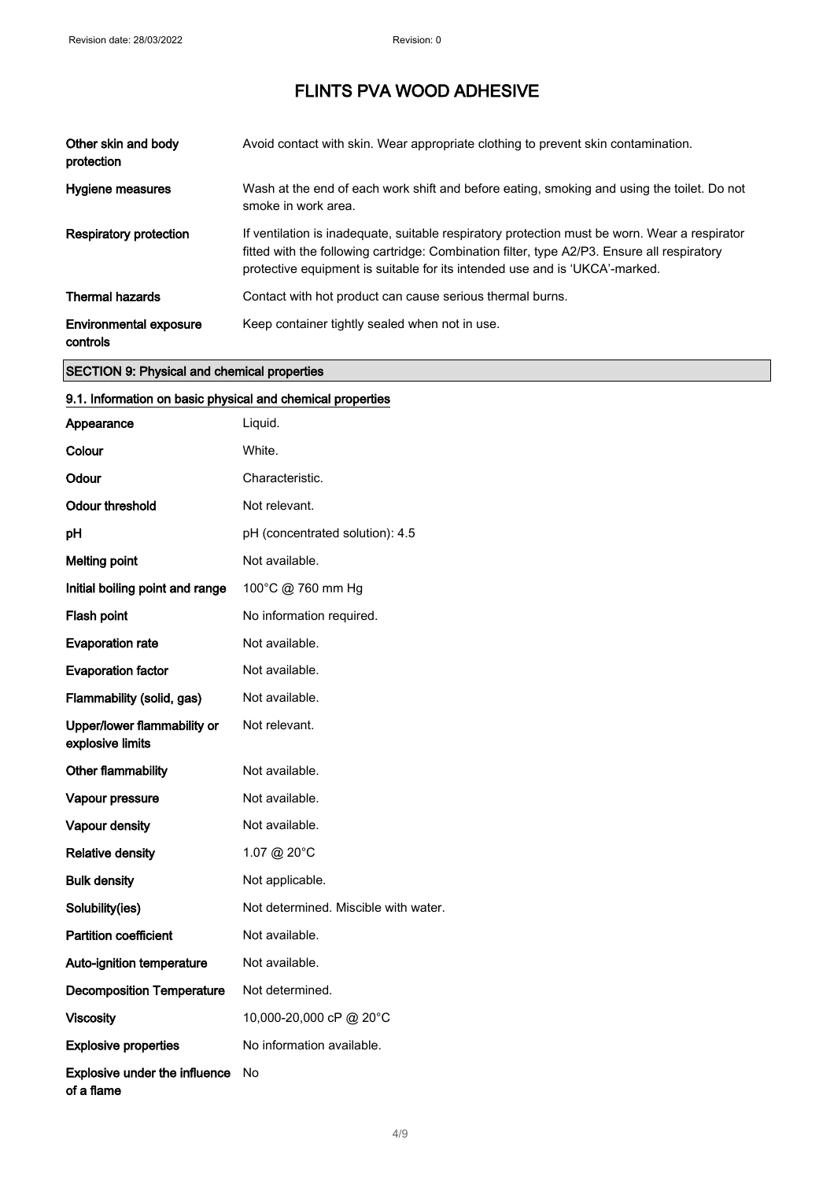| Other skin and body<br>protection         | Avoid contact with skin. Wear appropriate clothing to prevent skin contamination.                                                                                                                                                                                           |
|-------------------------------------------|-----------------------------------------------------------------------------------------------------------------------------------------------------------------------------------------------------------------------------------------------------------------------------|
| Hygiene measures                          | Wash at the end of each work shift and before eating, smoking and using the toilet. Do not<br>smoke in work area.                                                                                                                                                           |
| <b>Respiratory protection</b>             | If ventilation is inadequate, suitable respiratory protection must be worn. Wear a respirator<br>fitted with the following cartridge: Combination filter, type A2/P3. Ensure all respiratory<br>protective equipment is suitable for its intended use and is 'UKCA'-marked. |
| <b>Thermal hazards</b>                    | Contact with hot product can cause serious thermal burns.                                                                                                                                                                                                                   |
| <b>Environmental exposure</b><br>controls | Keep container tightly sealed when not in use.                                                                                                                                                                                                                              |

#### SECTION 9: Physical and chemical properties

#### 9.1. Information on basic physical and chemical properties

| Appearance                                         | Liquid.                              |
|----------------------------------------------------|--------------------------------------|
| Colour                                             | White.                               |
| Odour                                              | Characteristic.                      |
| <b>Odour threshold</b>                             | Not relevant.                        |
| рH                                                 | pH (concentrated solution): 4.5      |
| <b>Melting point</b>                               | Not available.                       |
| Initial boiling point and range                    | 100°C @ 760 mm Hg                    |
| Flash point                                        | No information required.             |
| <b>Evaporation rate</b>                            | Not available.                       |
| <b>Evaporation factor</b>                          | Not available.                       |
| Flammability (solid, gas)                          | Not available.                       |
| Upper/lower flammability or<br>explosive limits    | Not relevant.                        |
| Other flammability                                 | Not available.                       |
| Vapour pressure                                    | Not available.                       |
| Vapour density                                     | Not available.                       |
| <b>Relative density</b>                            | 1.07 @ 20°C                          |
| <b>Bulk density</b>                                | Not applicable.                      |
| Solubility(ies)                                    | Not determined. Miscible with water. |
| <b>Partition coefficient</b>                       | Not available.                       |
| Auto-ignition temperature                          | Not available.                       |
| <b>Decomposition Temperature</b>                   | Not determined.                      |
| <b>Viscosity</b>                                   | 10,000-20,000 cP @ 20°C              |
| <b>Explosive properties</b>                        | No information available.            |
| <b>Explosive under the influence</b><br>of a flame | No                                   |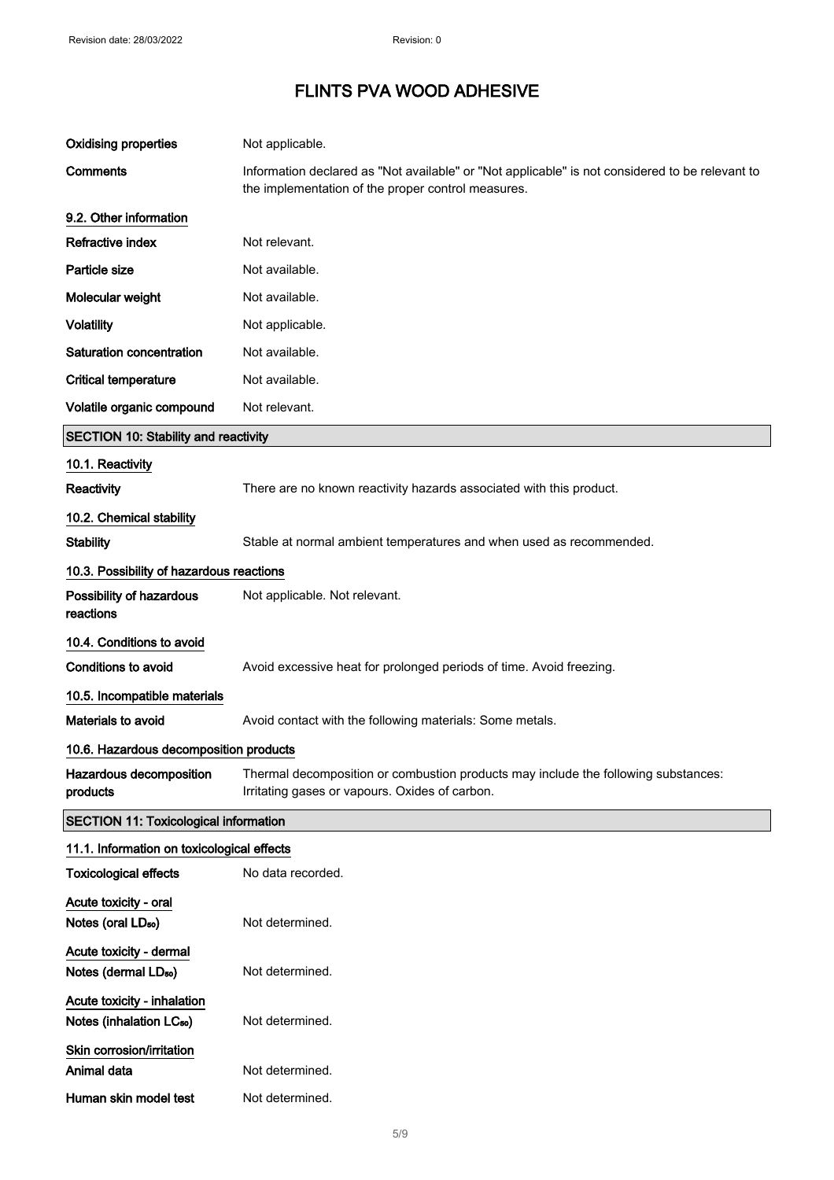| <b>Oxidising properties</b>                                         | Not applicable.                                                                                                                                       |
|---------------------------------------------------------------------|-------------------------------------------------------------------------------------------------------------------------------------------------------|
| Comments                                                            | Information declared as "Not available" or "Not applicable" is not considered to be relevant to<br>the implementation of the proper control measures. |
| 9.2. Other information                                              |                                                                                                                                                       |
| Refractive index                                                    | Not relevant.                                                                                                                                         |
| Particle size                                                       | Not available.                                                                                                                                        |
| Molecular weight                                                    | Not available.                                                                                                                                        |
| <b>Volatility</b>                                                   | Not applicable.                                                                                                                                       |
| Saturation concentration                                            | Not available.                                                                                                                                        |
| <b>Critical temperature</b>                                         | Not available.                                                                                                                                        |
| Volatile organic compound                                           | Not relevant.                                                                                                                                         |
| <b>SECTION 10: Stability and reactivity</b>                         |                                                                                                                                                       |
| 10.1. Reactivity                                                    |                                                                                                                                                       |
| Reactivity                                                          | There are no known reactivity hazards associated with this product.                                                                                   |
| 10.2. Chemical stability                                            |                                                                                                                                                       |
| <b>Stability</b>                                                    | Stable at normal ambient temperatures and when used as recommended.                                                                                   |
| 10.3. Possibility of hazardous reactions                            |                                                                                                                                                       |
| Possibility of hazardous<br>reactions                               | Not applicable. Not relevant.                                                                                                                         |
| 10.4. Conditions to avoid                                           |                                                                                                                                                       |
| Conditions to avoid                                                 | Avoid excessive heat for prolonged periods of time. Avoid freezing.                                                                                   |
| 10.5. Incompatible materials                                        |                                                                                                                                                       |
| Materials to avoid                                                  | Avoid contact with the following materials: Some metals.                                                                                              |
| 10.6. Hazardous decomposition products                              |                                                                                                                                                       |
| Hazardous decomposition<br>products                                 | Thermal decomposition or combustion products may include the following substances:<br>Irritating gases or vapours. Oxides of carbon.                  |
| <b>SECTION 11: Toxicological information</b>                        |                                                                                                                                                       |
| 11.1. Information on toxicological effects                          |                                                                                                                                                       |
| <b>Toxicological effects</b>                                        | No data recorded.                                                                                                                                     |
| Acute toxicity - oral<br>Notes (oral LD <sub>50</sub> )             | Not determined.                                                                                                                                       |
| Acute toxicity - dermal<br>Notes (dermal LD <sub>50</sub> )         | Not determined.                                                                                                                                       |
| Acute toxicity - inhalation<br>Notes (inhalation LC <sub>50</sub> ) | Not determined.                                                                                                                                       |
| Skin corrosion/irritation<br>Animal data                            | Not determined.                                                                                                                                       |
| Human skin model test                                               | Not determined.                                                                                                                                       |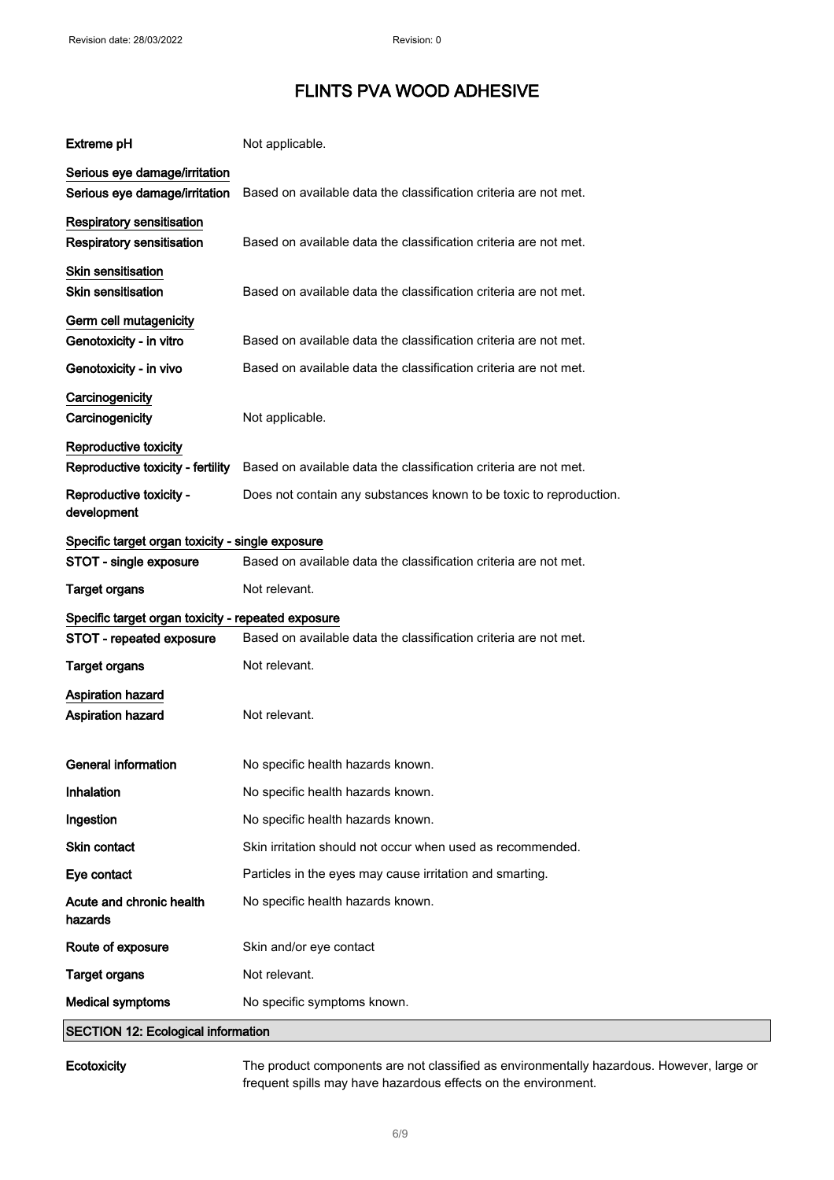| <b>Extreme pH</b>                                  | Not applicable.                                                    |
|----------------------------------------------------|--------------------------------------------------------------------|
| Serious eye damage/irritation                      |                                                                    |
| Serious eye damage/irritation                      | Based on available data the classification criteria are not met.   |
| Respiratory sensitisation                          |                                                                    |
| Respiratory sensitisation                          | Based on available data the classification criteria are not met.   |
| <b>Skin sensitisation</b>                          |                                                                    |
| <b>Skin sensitisation</b>                          | Based on available data the classification criteria are not met.   |
| Germ cell mutagenicity                             |                                                                    |
| Genotoxicity - in vitro                            | Based on available data the classification criteria are not met.   |
| Genotoxicity - in vivo                             | Based on available data the classification criteria are not met.   |
| Carcinogenicity                                    |                                                                    |
| Carcinogenicity                                    | Not applicable.                                                    |
| Reproductive toxicity                              |                                                                    |
| Reproductive toxicity - fertility                  | Based on available data the classification criteria are not met.   |
| Reproductive toxicity -<br>development             | Does not contain any substances known to be toxic to reproduction. |
| Specific target organ toxicity - single exposure   |                                                                    |
| STOT - single exposure                             | Based on available data the classification criteria are not met.   |
| <b>Target organs</b>                               | Not relevant.                                                      |
| Specific target organ toxicity - repeated exposure |                                                                    |
| STOT - repeated exposure                           | Based on available data the classification criteria are not met.   |
| <b>Target organs</b>                               | Not relevant.                                                      |
| <b>Aspiration hazard</b>                           |                                                                    |
| Aspiration hazard                                  | Not relevant.                                                      |
|                                                    |                                                                    |
| General information                                | No specific health hazards known.                                  |
| Inhalation                                         | No specific health hazards known.                                  |
| Ingestion                                          | No specific health hazards known.                                  |
| Skin contact                                       | Skin irritation should not occur when used as recommended.         |
| Eye contact                                        | Particles in the eyes may cause irritation and smarting.           |
| Acute and chronic health<br>hazards                | No specific health hazards known.                                  |
| Route of exposure                                  | Skin and/or eye contact                                            |
| <b>Target organs</b>                               | Not relevant.                                                      |
| <b>Medical symptoms</b>                            | No specific symptoms known.                                        |
| <b>SECTION 12: Ecological information</b>          |                                                                    |

Ecotoxicity The product components are not classified as environmentally hazardous. However, large or frequent spills may have hazardous effects on the environment.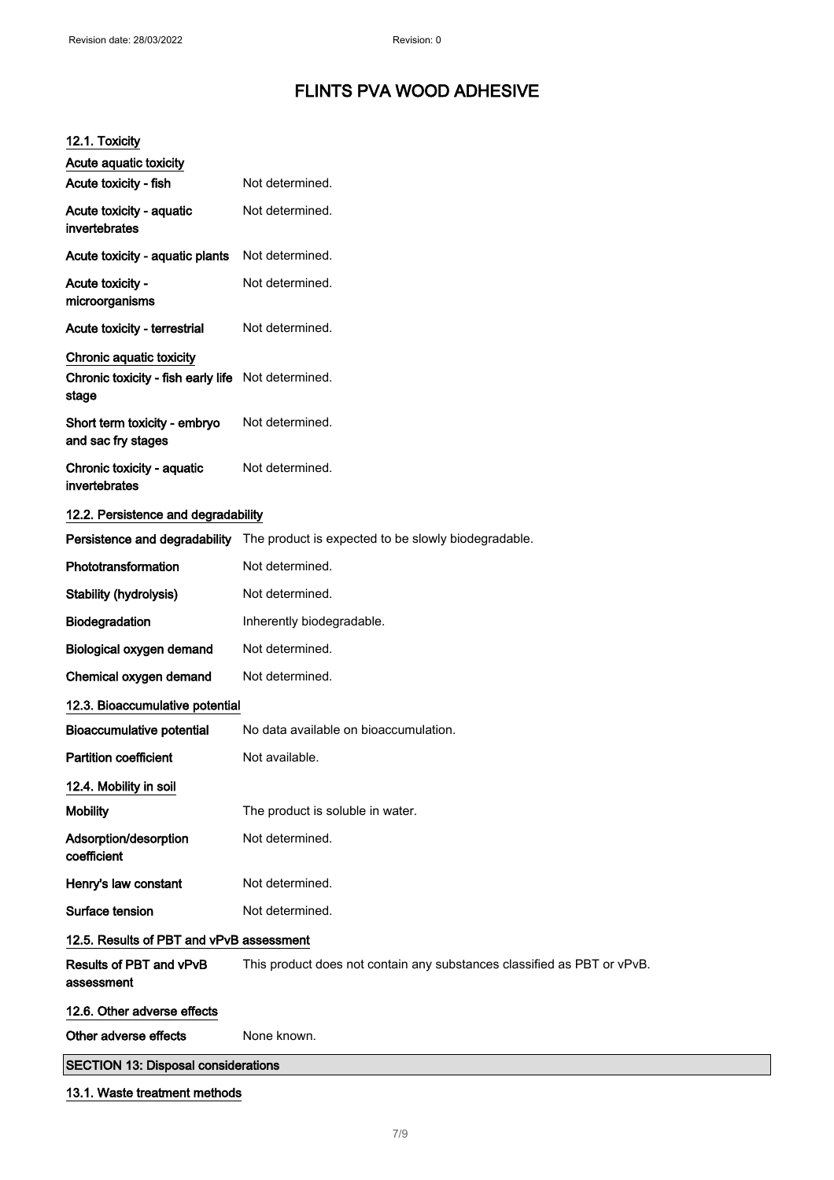| 12.1. Toxicity                                                                          |                                                                                   |
|-----------------------------------------------------------------------------------------|-----------------------------------------------------------------------------------|
| Acute aquatic toxicity<br>Acute toxicity - fish                                         | Not determined.                                                                   |
|                                                                                         |                                                                                   |
| Acute toxicity - aquatic<br>invertebrates                                               | Not determined.                                                                   |
| Acute toxicity - aquatic plants                                                         | Not determined.                                                                   |
| Acute toxicity -<br>microorganisms                                                      | Not determined.                                                                   |
| Acute toxicity - terrestrial                                                            | Not determined.                                                                   |
| Chronic aquatic toxicity<br>Chronic toxicity - fish early life Not determined.<br>stage |                                                                                   |
| Short term toxicity - embryo<br>and sac fry stages                                      | Not determined.                                                                   |
| Chronic toxicity - aquatic<br>invertebrates                                             | Not determined.                                                                   |
| 12.2. Persistence and degradability                                                     |                                                                                   |
|                                                                                         | Persistence and degradability The product is expected to be slowly biodegradable. |
| Phototransformation                                                                     | Not determined.                                                                   |
| <b>Stability (hydrolysis)</b>                                                           | Not determined.                                                                   |
| Biodegradation                                                                          | Inherently biodegradable.                                                         |
| Biological oxygen demand                                                                | Not determined.                                                                   |
| Chemical oxygen demand                                                                  | Not determined.                                                                   |
| 12.3. Bioaccumulative potential                                                         |                                                                                   |
| <b>Bioaccumulative potential</b>                                                        | No data available on bioaccumulation.                                             |
| <b>Partition coefficient</b>                                                            | Not available.                                                                    |
| 12.4. Mobility in soil                                                                  |                                                                                   |
| <b>Mobility</b>                                                                         | The product is soluble in water.                                                  |
| Adsorption/desorption<br>coefficient                                                    | Not determined.                                                                   |
| Henry's law constant                                                                    | Not determined.                                                                   |
| Surface tension                                                                         | Not determined.                                                                   |
| 12.5. Results of PBT and vPvB assessment                                                |                                                                                   |
| Results of PBT and vPvB<br>assessment                                                   | This product does not contain any substances classified as PBT or vPvB.           |
| 12.6. Other adverse effects                                                             |                                                                                   |
| Other adverse effects                                                                   | None known.                                                                       |
| <b>SECTION 13: Disposal considerations</b>                                              |                                                                                   |
| 13.1. Waste treatment methods                                                           |                                                                                   |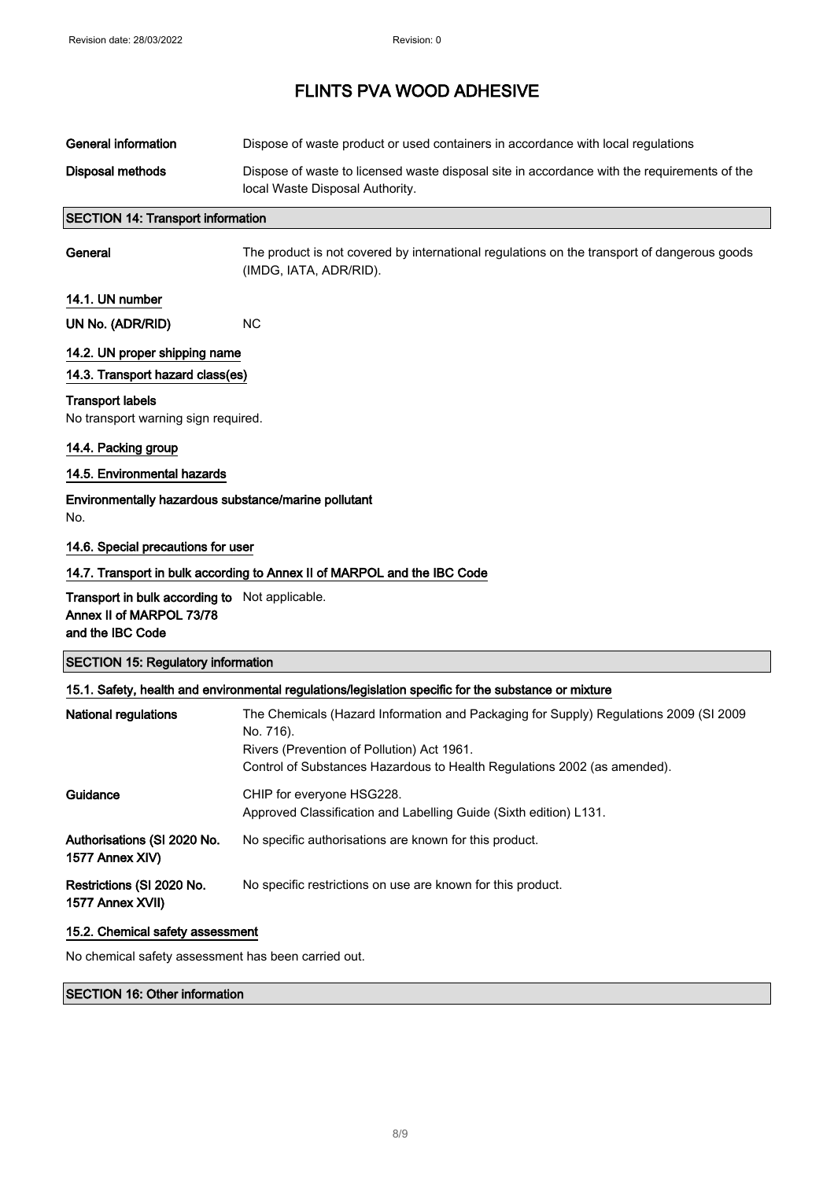| <b>General information</b>                                                                     | Dispose of waste product or used containers in accordance with local regulations                                                                                                                                             |
|------------------------------------------------------------------------------------------------|------------------------------------------------------------------------------------------------------------------------------------------------------------------------------------------------------------------------------|
| <b>Disposal methods</b>                                                                        | Dispose of waste to licensed waste disposal site in accordance with the requirements of the<br>local Waste Disposal Authority.                                                                                               |
| <b>SECTION 14: Transport information</b>                                                       |                                                                                                                                                                                                                              |
| General                                                                                        | The product is not covered by international regulations on the transport of dangerous goods<br>(IMDG, IATA, ADR/RID).                                                                                                        |
| 14.1. UN number                                                                                |                                                                                                                                                                                                                              |
| UN No. (ADR/RID)                                                                               | <b>NC</b>                                                                                                                                                                                                                    |
| 14.2. UN proper shipping name<br>14.3. Transport hazard class(es)                              |                                                                                                                                                                                                                              |
| <b>Transport labels</b><br>No transport warning sign required.                                 |                                                                                                                                                                                                                              |
| 14.4. Packing group                                                                            |                                                                                                                                                                                                                              |
| 14.5. Environmental hazards                                                                    |                                                                                                                                                                                                                              |
| Environmentally hazardous substance/marine pollutant<br>No.                                    |                                                                                                                                                                                                                              |
| 14.6. Special precautions for user                                                             |                                                                                                                                                                                                                              |
|                                                                                                | 14.7. Transport in bulk according to Annex II of MARPOL and the IBC Code                                                                                                                                                     |
| Transport in bulk according to Not applicable.<br>Annex II of MARPOL 73/78<br>and the IBC Code |                                                                                                                                                                                                                              |
| <b>SECTION 15: Regulatory information</b>                                                      |                                                                                                                                                                                                                              |
|                                                                                                | 15.1. Safety, health and environmental regulations/legislation specific for the substance or mixture                                                                                                                         |
| <b>National regulations</b>                                                                    | The Chemicals (Hazard Information and Packaging for Supply) Regulations 2009 (SI 2009<br>No. 716).<br>Rivers (Prevention of Pollution) Act 1961.<br>Control of Substances Hazardous to Health Regulations 2002 (as amended). |
| Guidance                                                                                       | CHIP for everyone HSG228.<br>Approved Classification and Labelling Guide (Sixth edition) L131.                                                                                                                               |
| Authorisations (SI 2020 No.<br>1577 Annex XIV)                                                 | No specific authorisations are known for this product.                                                                                                                                                                       |
| Restrictions (SI 2020 No.<br>1577 Annex XVII)                                                  | No specific restrictions on use are known for this product.                                                                                                                                                                  |
| 15.2. Chemical safety assessment                                                               |                                                                                                                                                                                                                              |
|                                                                                                |                                                                                                                                                                                                                              |

No chemical safety assessment has been carried out.

#### SECTION 16: Other information